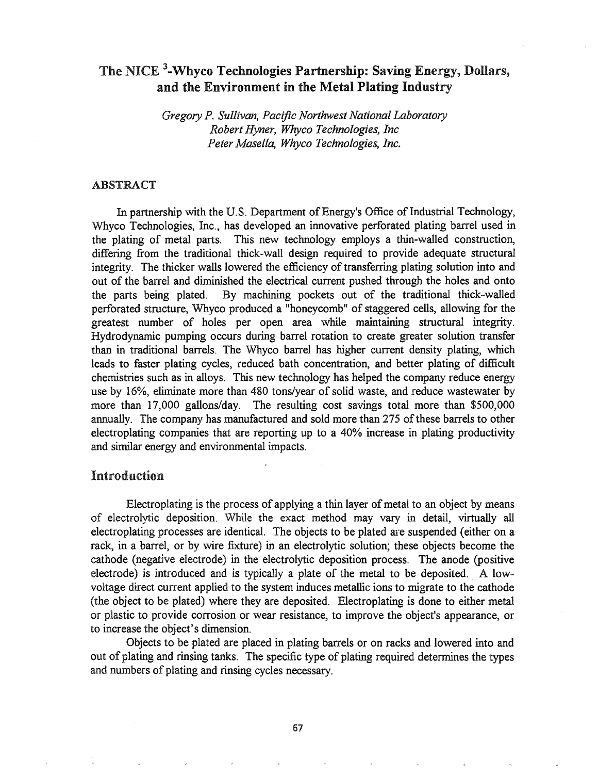# The NICE 3-Whyco Technologies Partnership: Saving Energy, Dollars, and the Environment in the Metal Plating Industry

*Gregory P. Sullivan, Pacific Northwest National Laboratory Robert Hyner, Whyco Technologies, Inc Peter Masella, Whyco Technologies, Inc.*

## ABSTRACT

In partnership with the U.S. Department of Energy's Office of Industrial Technology, Whyco Technologies, Inc., has developed an innovative perforated plating barrel used in the plating of metal parts. This new technology employs a thin-walled construction, differing from the traditional thick-wall design required to provide adequate structural integrity. The thicker walls lowered the efficiency of transferring plating solution into and out of the barrel and diminished the electrical current pushed through the holes and onto the parts being plated. By machining pockets out of the traditional thick-walled perforated structure, Whyco produced a "honeycomb" of staggered cells, allowing for the greatest number of holes per open area while maintaining structural integrity. Hydrodynamic pumping occurs during barrel rotation to create greater solution transfer than in traditional barrels. The Whyco barrel has higher current density plating, which leads to faster plating cycles, reduced bath concentration, and better plating of difficult chemistries such as in alloys. This new technology has helped the company reduce energy use by 16%, eliminate more than 480 tons/year of solid waste, and reduce wastewater by more than 17,000 gallons/day. The resulting cost savings total more than \$500,000 annually. The company has manufactured and sold more than 275 of these barrels to other electroplating companies that are reporting up to a 40% increase in plating productivity and similar energy and environmental impacts.

# Introduction

Electroplating is the process of applying a thin layer of metal to an object by means of electrolytic deposition. While the exact method may vary in detail, virtually all electroplating processes are identical. The objects to be plated are suspended (either on a rack, in a barrel, or by wire fixture) in an electrolytic solution; these objects become the cathode (negative electrode) in the electrolytic deposition process. The anode (positive electrode) is introduced and is typically a plate of the metal to be deposited. A lowvoltage direct current applied to the system induces metallic ions to migrate to the cathode (the object to be plated) where they are deposited. Electroplating is done to either metal or plastic to provide corrosion or wear resistance, to improve the object's appearance, or to increase the object's dimension.

Objects to be plated are placed in plating barrels or on racks and lowered into and out of plating and rinsing tanks. The specific type of plating required determines the types and numbers of plating and rinsing cycles necessary.

67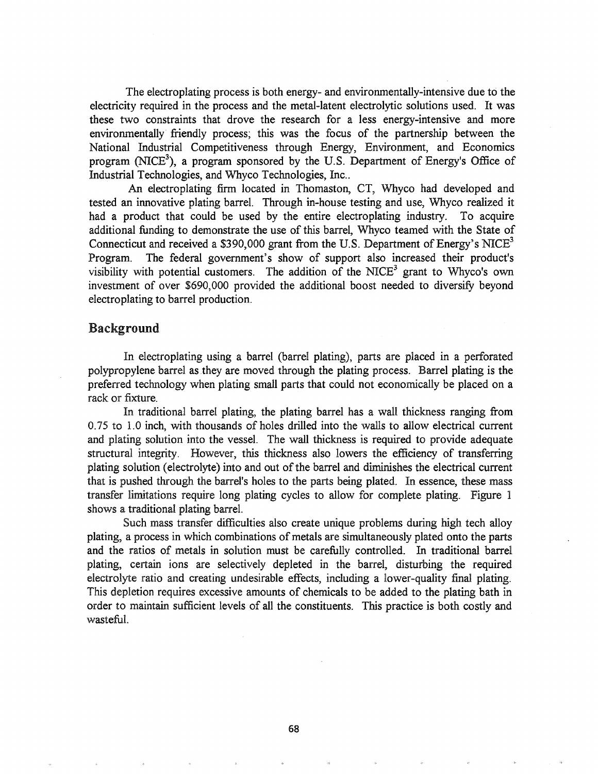The electroplating process is both energy- and environmentally-intensive due to the electricity required in the process and the metal-latent electrolytic solutions used. It was these two constraints that drove the research for a less energy-intensive and more environmentally' friendly process; this was the focus of the partnership between the National Industrial Competitiveness through Energy, Environment, and Economics program (NICE<sup>3</sup>), a program sponsored by the U.S. Department of Energy's Office of Industrial Technologies, and Whyco Technologies, Inc..

An electroplating firm located in Thomaston, CT, Whyco had developed and tested an innovative plating barrel. Through in-house testing and use, Whyco realized it had a product that could be used by the entire electroplating industry. To acquire additional funding to demonstrate the use of this barrel, Whyco teamed with the State of Connecticut and received a \$390,000 grant from the U.S. Department of Energy's  $NICE<sup>3</sup>$ Program. The federal government's show of support also increased their product's visibility with potential customers. The addition of the  $NICE<sup>3</sup>$  grant to Whyco's own investment of over \$690,000 provided the additional boost needed to diversify beyond electroplating to barrel production.

#### Background

In electroplating using a barrel (barrel plating), parts are placed in a perforated polypropylene barrel as.they are moved through the plating process. Barrel plating is the preferred technology when plating small parts that could not economically be placed on a rack or fixture.

In traditional barrel plating, the plating barrel has a wall thickness ranging from 0.75 to 1.0 inch, with thousands of holes drilled into the walls to allow electrical current and plating solution into the vessel. The wall thickness is required to provide adequate structural integrity. However, this thickness also lowers the efficiency of transferring plating solution (electrolyte) into and out of the barrel and diminishes the electrical current that is pushed through the barrel's holes to the parts being plated. In essence, these mass transfer limitations require long plating cycles to allow for complete plating. Figure 1 shows a traditional plating barrel.

Such mass transfer difficulties also create unique problems during high tech alloy plating, a process in which combinations of metals are simultaneously plated onto the parts and the ratios of metals in solution must be carefully controlled. In traditional barrel plating, certain ions are selectively depleted in the barrel, disturbing the required electrolyte ratio and creating undesirable effects, including a lower-quality final plating. This depletion requires excessive amounts of chemicals to be added to the plating bath in order to maintain sufficient levels of all the constituents. This practice is both costly and wasteful.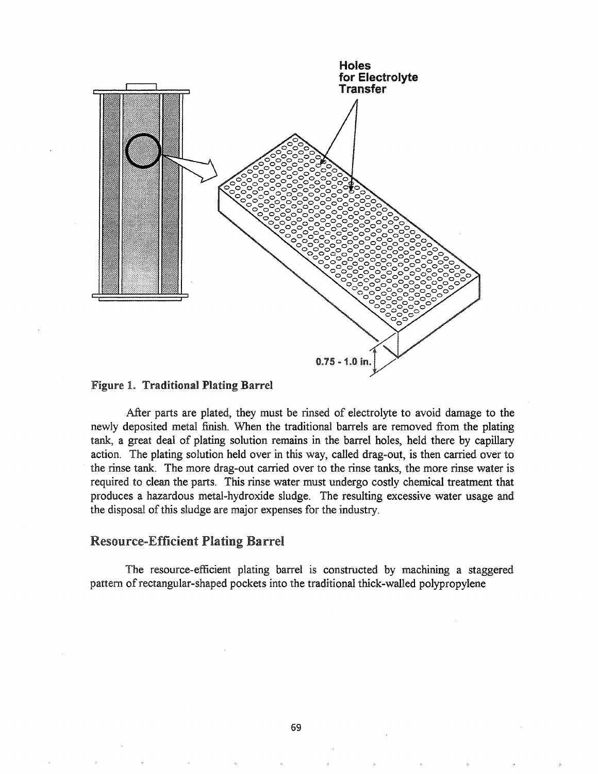

#### Figure 1. Traditional Plating Barrel

After parts are plated, they must be rinsed of electrolyte to avoid damage to the newly deposited metal finish. When the traditional barrels are removed from the plating tank, a great deal of plating solution remains in the barrel holes, held there by capillary action. The plating solution held over in this way, called drag-out, is then carried over to the rinse tank. The more drag-out carried over to the rinse tanks, the more rinse water is required to clean the parts. This rinse water must undergo costly chemical treatment that produces a hazardous metal-hydroxide sludge. The resulting excessive water usage and the disposal of this sludge are major expenses for the industry.

#### Resource-Efficient Plating Barrel

The resource-efficient plating barrel is constructed by machining a staggered pattern of rectangular-shaped pockets into the traditional thick-walled polypropylene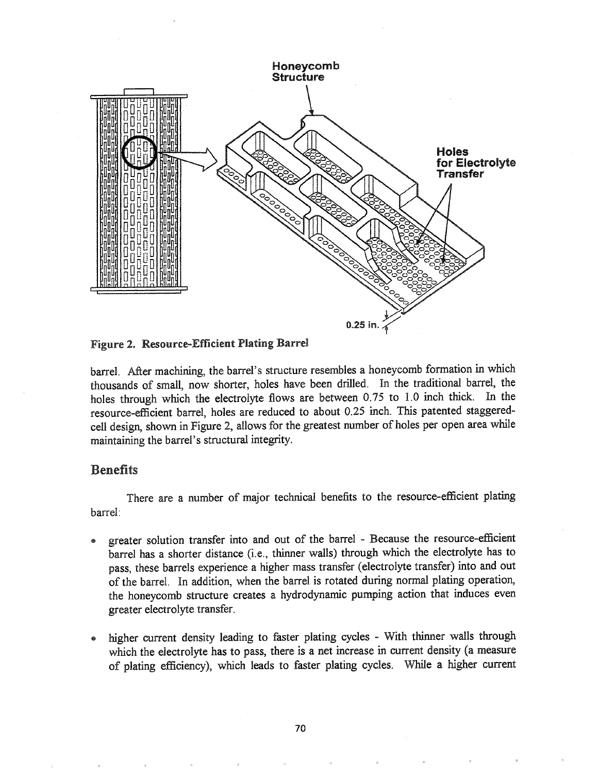

Figure 2& Resource-Efficient Plating Barrel

barrel. After machining, the barrel's structure resembles a honeycomb formation in which thousands of small, now shorter, holes have been drilled. In the traditional barrel, the holes through which the electrolyte flows are between 0.75 to 1.0 inch thick. In the resource-efficient barrel, holes are reduced to about 0.25 inch. This patented staggeredcell design, shown in Figure 2, allows for the greatest number of holes per open area while maintaining the barrel's structural integrity.

# Benefits

There are a number of major technical benefits to the resource-efficient plating barrel:

- greater solution transfer into and out of the barrel Because the resource-efficient barrel has a shorter distance (i.e., thinner walls) through which the electrolyte has to pass, these barrels experience a higher mass transfer (electrolyte transfer) into and out of the barrel. In addition, when the barrel is rotated during normal plating operation, the honeycomb structure creates a hydrodynamic pumping action that induces even greater electrolyte transfer.
- higher current density leading to faster plating cycles With thinner walls through which the electrolyte has to pass, there is a net increase in current density (a measure of plating efficiency), which leads to faster plating cycles. While a higher current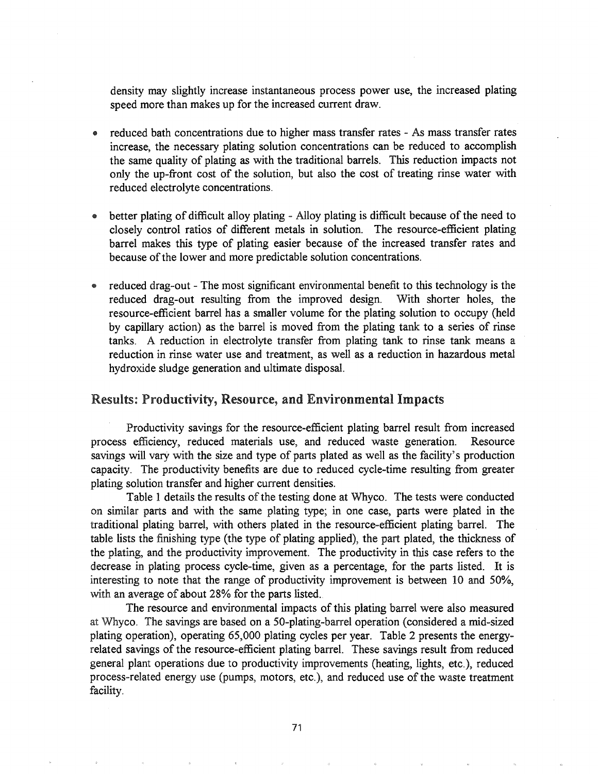density may slightly increase instantaneous process power use, the increased plating speed more than makes up for the increased current draw.

- reduced bath concentrations due to higher mass transfer rates As mass transfer rates increase, the necessary plating solution concentrations can be reduced to accomplish the same quality of plating as with the traditional barrels. This reduction impacts not only the up-front cost of the solution, but also the cost of treating rinse water with reduced electrolyte concentrations.
- $\bullet$  better plating of difficult alloy plating Alloy plating is difficult because of the need to closely control ratios of different metals in solution. The resource-efficient plating barrel makes this type of plating easier because of the increased transfer rates and because of the lower and more predictable solution concentrations.
- reduced drag-out The most significant environmental benefit to this technology is the reduced drag-out resulting from the improved design. With shorter holes, the resource-efficient barrel has a smaller volume for the plating solution to occupy (held by capillary action) as the barrel is moved from the plating tank to a series of rinse tanks. A reduction in electrolyte transfer from plating tank to rinse tank means a reduction in rinse water use and treatment, as well as a reduction in hazardous metal hydroxide sludge generation and ultimate disposal.

# Results: Productivity, Resource, and Environmental Impacts

Productivity savings for the resource-efficient plating barrel result from increased process efficiency, reduced materials use, and reduced waste generation. Resource savings will vary with the size and type of parts plated as well as the facility's production capacity. The productivity benefits are due to reduced cycle-time resulting from greater plating solution transfer and higher current densities.

Table 1 details the results of the testing done at Whyco. The tests were conducted on similar parts and with the same plating type; in one case, parts were plated in the traditional plating barrel, with others plated in the resource-efficient plating barreL The table lists the finishing type (the type of plating applied), the part plated, the thickness of the plating, and the productivity improvement. The productivity in this case refers to the decrease in plating process cycle-time, given as a percentage, for the parts listed. It is interesting to note that the range of productivity improvement is between 10 and 50%, with an average of about 28% for the parts listed.

The resource and environmental impacts of this plating barrel were also measured at Whyco. The savings are based on a 50-plating-barrel operation (considered a mid-sized plating operation), operating 65,000 plating cycles per. year. Table 2 presents the energyrelated savings of the resource-efficient plating barrel. These savings result from reduced general plant operations due to productivity improvements (heating, lights, etc.), reduced process-related energy use (pumps, motors, etc.), and reduced use of the waste treatment facility.

71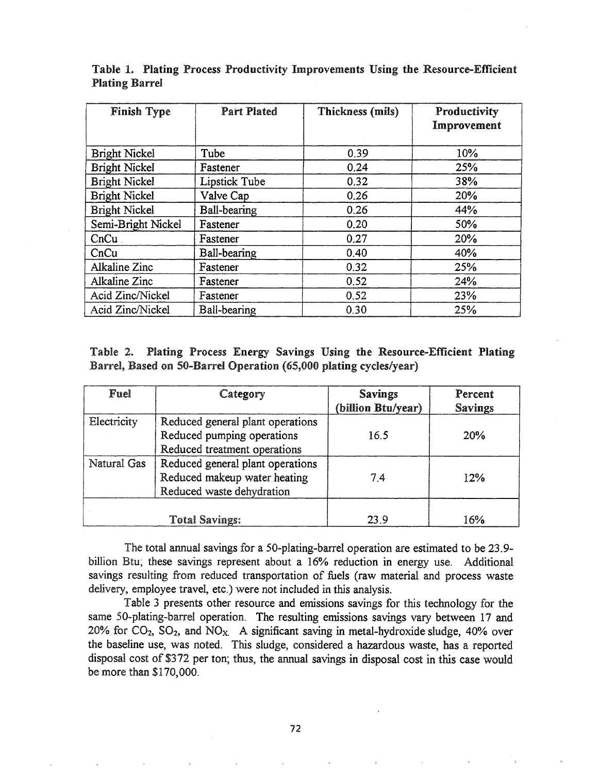| <b>Finish Type</b>   | <b>Part Plated</b> | Thickness (mils) | Productivity<br>Improvement |
|----------------------|--------------------|------------------|-----------------------------|
| <b>Bright Nickel</b> | Tube               | 0.39             | 10%                         |
| <b>Bright Nickel</b> | Fastener           | 0.24             | 25%                         |
| <b>Bright Nickel</b> | Lipstick Tube      | 0.32             | 38%                         |
| <b>Bright Nickel</b> | Valve Cap          | 0.26             | 20%                         |
| <b>Bright Nickel</b> | Ball-bearing       | 0.26             | 44%                         |
| Semi-Bright Nickel   | Fastener           | 0.20             | 50%                         |
| CnCu                 | Fastener           | 0.27             | 20%                         |
| CnCu                 | Ball-bearing       | 0.40             | 40%                         |
| Alkaline Zinc        | Fastener           | 0.32             | 25%                         |
| Alkaline Zinc        | Fastener           | 0.52             | 24%                         |
| Acid Zinc/Nickel     | Fastener           | 0.52             | 23%                         |
| Acid Zinc/Nickel     | Ball-bearing       | 0.30             | 25%                         |

Table 1. Plating Process Productivity Improvements Using the Resource-Efficient Plating Barrel

# Table 2. Plating Process Energy Savings Using the Resource-Efficient Plating Barrel, Based on 50-Barrel Operation (65,000 plating cycles/year)

| Fuel        | Category                         | <b>Savings</b>     | Percent        |
|-------------|----------------------------------|--------------------|----------------|
|             |                                  | (billion Btu/year) | <b>Savings</b> |
| Electricity | Reduced general plant operations |                    |                |
|             | Reduced pumping operations       | 16.5               | <b>20%</b>     |
|             | Reduced treatment operations     |                    |                |
| Natural Gas | Reduced general plant operations |                    |                |
|             | Reduced makeup water heating     | 7.4                | 12%            |
|             | Reduced waste dehydration        |                    |                |
|             |                                  |                    |                |
|             | <b>Total Savings:</b>            | 23.9               | 16%            |

The total annual savings for a 50-plating-barrel operation are estimated to be 23.9 billion Btu; these savings represent about a 16% reduction in energy use. Additional savings resulting from reduced transportation of fuels (raw material and process waste delivery, employee travel, etc.) were not included in this analysis.

Table 3 presents other resource and emissions savings for this technology for the same 50-plating-barrel operation. The resulting emissions savings vary between 17 and 20% for  $CO_2$ ,  $SO_2$ , and  $NO_X$ . A significant saving in metal-hydroxide sludge, 40% over the baseline use, was noted. This sludge, considered a hazardous waste, has a reported disposal cost of \$372 per ton; thus, the annual savings in disposal cost in this case would be more than \$170,000.